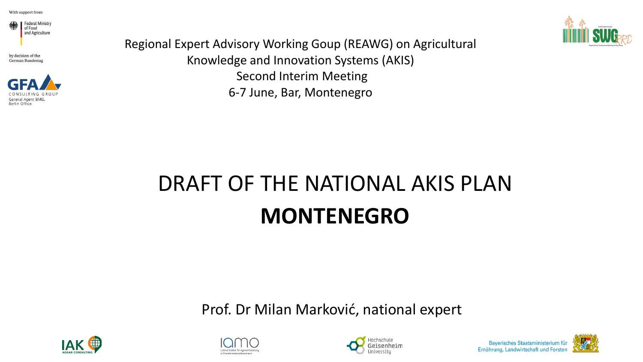

by decision of the German Bundestag



Regional Expert Advisory Working Goup (REAWG) on Agricultural Knowledge and Innovation Systems (AKIS) Second Interim Meeting 6-7 June, Bar, Montenegro



Prof. Dr Milan Marković, national expert









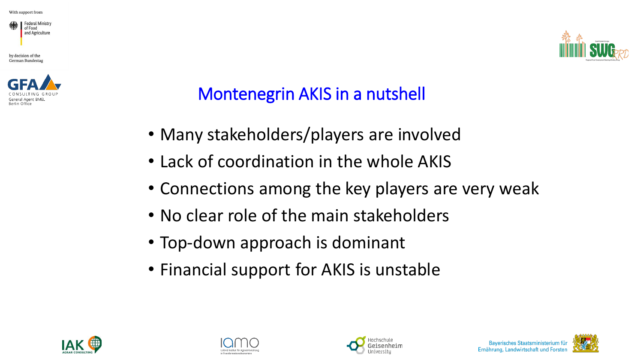

by decision of the German Bundestag





### Montenegrin AKIS in a nutshell

- Many stakeholders/players are involved
- Lack of coordination in the whole AKIS
- Connections among the key players are very weak
- No clear role of the main stakeholders
- Top-down approach is dominant
- Financial support for AKIS is unstable







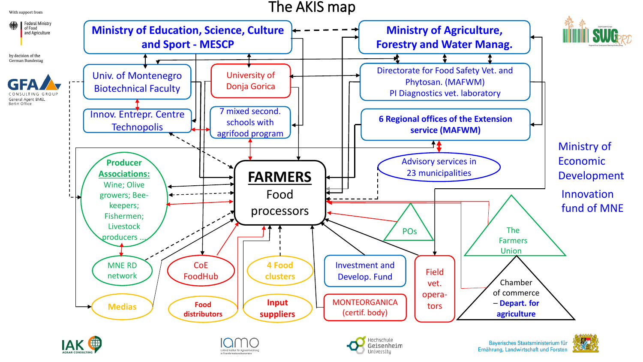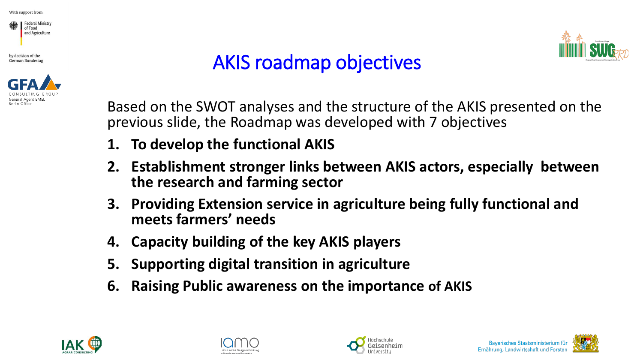





## AKIS roadmap objectives



- **1. To develop the functional AKIS**
- **2. Establishment stronger links between AKIS actors, especially between the research and farming sector**
- **3. Providing Extension service in agriculture being fully functional and meets farmers' needs**
- **4. Capacity building of the key AKIS players**
- **5. Supporting digital transition in agriculture**
- **6. Raising Public awareness on the importance of AKIS**







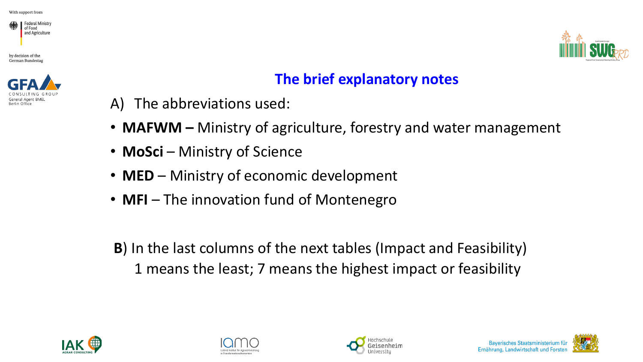







#### **The brief explanatory notes**

- A) The abbreviations used:
- **MAFWM –** Ministry of agriculture, forestry and water management
- **MoSci** Ministry of Science
- **MED** Ministry of economic development
- **MFI** The innovation fund of Montenegro
- **B**) In the last columns of the next tables (Impact and Feasibility) 1 means the least; 7 means the highest impact or feasibility









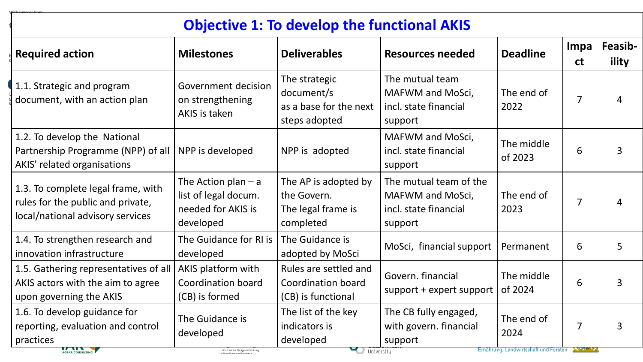|                                                                                                             | <b>Objective 1: To develop the functional AKIS</b>                               |                                                                        |                                                                                |                                       |                    |                  |  |
|-------------------------------------------------------------------------------------------------------------|----------------------------------------------------------------------------------|------------------------------------------------------------------------|--------------------------------------------------------------------------------|---------------------------------------|--------------------|------------------|--|
| <b>Required action</b>                                                                                      | <b>Milestones</b>                                                                | <b>Deliverables</b>                                                    | <b>Resources needed</b>                                                        | <b>Deadline</b>                       | Impa<br><b>ct</b>  | Feasib-<br>ility |  |
| 1.1. Strategic and program<br>document, with an action plan                                                 | Government decision<br>on strengthening<br>AKIS is taken                         | The strategic<br>document/s<br>as a base for the next<br>steps adopted | The mutual team<br>MAFWM and MoSci,<br>incl. state financial<br>support        | The end of<br>2022                    | $\overline{7}$     | 4                |  |
| 1.2. To develop the National<br>Partnership Programme (NPP) of all<br>AKIS' related organisations           | NPP is developed                                                                 | NPP is adopted                                                         | <b>MAFWM and MoSci,</b><br>incl. state financial<br>support                    | The middle<br>of 2023                 | 6                  | 3                |  |
| 1.3. To complete legal frame, with<br>rules for the public and private,<br>local/national advisory services | The Action plan $-$ a<br>list of legal docum.<br>needed for AKIS is<br>developed | The AP is adopted by<br>the Govern.<br>The legal frame is<br>completed | The mutual team of the<br>MAFWM and MoSci,<br>incl. state financial<br>support | The end of<br>2023                    | $\overline{7}$     | Δ                |  |
| 1.4. To strengthen research and<br>innovation infrastructure                                                | The Guidance for RI is<br>developed                                              | The Guidance is<br>adopted by MoSci                                    | MoSci, financial support                                                       | Permanent                             | 6                  | 5                |  |
| 1.5. Gathering representatives of all<br>AKIS actors with the aim to agree<br>upon governing the AKIS       | AKIS platform with<br>Coordination board<br>(CB) is formed                       | Rules are settled and<br>Coordination board<br>(CB) is functional      | Govern. financial<br>support + expert support                                  | The middle<br>of 2024                 | 6                  | 3                |  |
| 1.6. To develop guidance for<br>reporting, evaluation and control<br>practices                              | The Guidance is<br>developed                                                     | The list of the key<br>indicators is<br>developed                      | The CB fully engaged,<br>with govern. financial<br>support                     | The end of<br>2024                    | 7                  | 3                |  |
| AGRAR CONSULTING                                                                                            | Leibniz-Institut für Agrarentwicklung                                            | University                                                             |                                                                                | Ernahrung, Landwirtschaft und Forsten | <b>THE REAL AT</b> |                  |  |

With sunnort from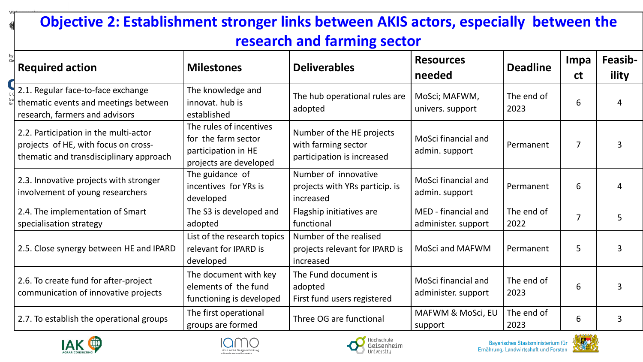#### **Objective 2: Establishment stronger links between AKIS actors, especially between the research and farming sector**

|          | <b>Required action</b>                                                                                                   | <b>Milestones</b>                                                                               | <b>Deliverables</b>                                                            | <b>Resources</b><br>needed                 | <b>Deadline</b>    | Impa<br><b>ct</b> | <b>Feasib-</b><br>ility |
|----------|--------------------------------------------------------------------------------------------------------------------------|-------------------------------------------------------------------------------------------------|--------------------------------------------------------------------------------|--------------------------------------------|--------------------|-------------------|-------------------------|
| Ge<br>Be | 2.1. Regular face-to-face exchange<br>thematic events and meetings between<br>research, farmers and advisors             | The knowledge and<br>innovat. hub is<br>established                                             | The hub operational rules are<br>adopted                                       | MoSci; MAFWM,<br>univers. support          | The end of<br>2023 | 6                 |                         |
|          | 2.2. Participation in the multi-actor<br>projects of HE, with focus on cross-<br>thematic and transdisciplinary approach | The rules of incentives<br>for the farm sector<br>participation in HE<br>projects are developed | Number of the HE projects<br>with farming sector<br>participation is increased | MoSci financial and<br>admin. support      | Permanent          | $\overline{7}$    |                         |
|          | 2.3. Innovative projects with stronger<br>involvement of young researchers                                               | The guidance of<br>incentives for YRs is<br>developed                                           | Number of innovative<br>projects with YRs particip. is<br>increased            | MoSci financial and<br>admin. support      | Permanent          | 6                 |                         |
|          | 2.4. The implementation of Smart<br>specialisation strategy                                                              | The S3 is developed and<br>adopted                                                              | Flagship initiatives are<br>functional                                         | MED - financial and<br>administer. support | The end of<br>2022 | 7                 | 5                       |
|          | 2.5. Close synergy between HE and IPARD                                                                                  | List of the research topics<br>relevant for IPARD is<br>developed                               | Number of the realised<br>projects relevant for IPARD is<br>increased          | <b>MoSci and MAFWM</b>                     | Permanent          | 5                 |                         |
|          | 2.6. To create fund for after-project<br>communication of innovative projects                                            | The document with key<br>elements of the fund<br>functioning is developed                       | The Fund document is<br>adopted<br>First fund users registered                 | MoSci financial and<br>administer. support | The end of<br>2023 | 6                 |                         |
|          | 2.7. To establish the operational groups                                                                                 | The first operational<br>groups are formed                                                      | Three OG are functional                                                        | MAFWM & MoSci, EU<br>support               | The end of<br>2023 | 6                 | 3                       |







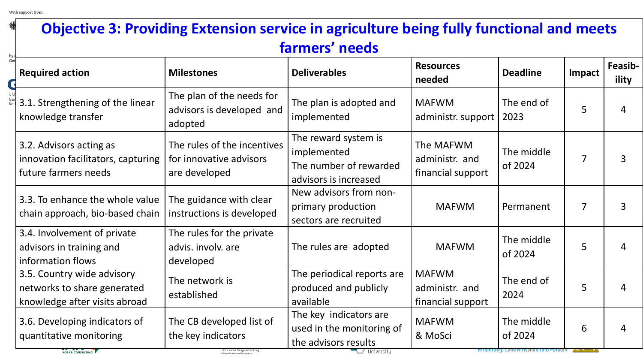| <b>Objective 3: Providing Extension service in agriculture being fully functional and meets</b><br>farmers' needs |                                                                                                                        |                                                                                             |                                                     |                                                                                |                |                  |
|-------------------------------------------------------------------------------------------------------------------|------------------------------------------------------------------------------------------------------------------------|---------------------------------------------------------------------------------------------|-----------------------------------------------------|--------------------------------------------------------------------------------|----------------|------------------|
| <b>Required action</b>                                                                                            | <b>Milestones</b>                                                                                                      | <b>Deliverables</b>                                                                         | <b>Resources</b><br>needed                          | <b>Deadline</b>                                                                | Impact         | Feasib-<br>ility |
| 3.1. Strengthening of the linear<br>knowledge transfer                                                            | The plan of the needs for<br>advisors is developed and<br>adopted                                                      | The plan is adopted and<br>implemented                                                      | <b>MAFWM</b><br>administr. support                  | The end of<br>2023                                                             | 5              | $\overline{4}$   |
| 3.2. Advisors acting as<br>innovation facilitators, capturing<br>future farmers needs                             | The rules of the incentives<br>for innovative advisors<br>are developed                                                | The reward system is<br>implemented<br>The number of rewarded<br>advisors is increased      | The MAFWM<br>administr. and<br>financial support    | The middle<br>of 2024                                                          | $\overline{7}$ | $\overline{3}$   |
| 3.3. To enhance the whole value<br>chain approach, bio-based chain                                                | The guidance with clear<br>instructions is developed                                                                   | New advisors from non-<br>primary production<br>sectors are recruited                       | <b>MAFWM</b>                                        | Permanent                                                                      | $\overline{7}$ | 3                |
| 3.4. Involvement of private<br>advisors in training and<br>information flows                                      | The rules for the private<br>advis. involv. are<br>developed                                                           | The rules are adopted                                                                       | <b>MAFWM</b>                                        | The middle<br>of 2024                                                          | 5              | 4                |
| 3.5. Country wide advisory<br>networks to share generated<br>knowledge after visits abroad                        | The network is<br>established                                                                                          | The periodical reports are<br>produced and publicly<br>available                            | <b>MAFWM</b><br>administr. and<br>financial support | The end of<br>2024                                                             | 5              | 4                |
| 3.6. Developing indicators of<br>quantitative monitoring<br>AGRAR CONSULTING                                      | The CB developed list of<br>the key indicators<br>Leibniz-Institut für Agrarentwicklung<br>in Transformationsökonomien | The key indicators are<br>used in the monitoring of<br>the advisors results<br>/ University | <b>MAFWM</b><br>& MoSci                             | The middle<br>of 2024<br><u> مستعدد – Ernamung, Lanuwirtschalt und Forsten</u> | 6              | 4                |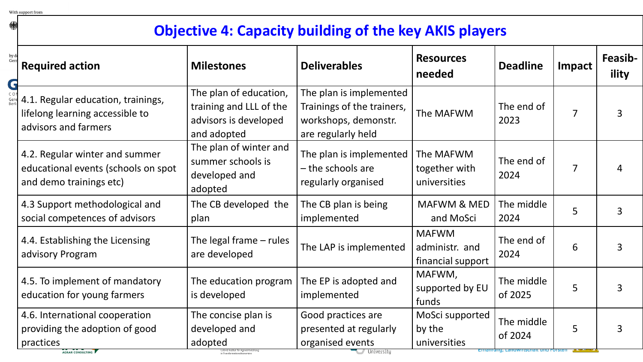绿心

#### **Objective 4: Capacity building of the key AKIS players**

| by de<br>Gerr<br>G | <b>Required action</b>                                                                            | <b>Milestones</b>                                                                         | <b>Deliverables</b>                                                                                 | <b>Resources</b><br>needed                          | <b>Deadline</b>       | Impact         | Feasib-<br>ility |
|--------------------|---------------------------------------------------------------------------------------------------|-------------------------------------------------------------------------------------------|-----------------------------------------------------------------------------------------------------|-----------------------------------------------------|-----------------------|----------------|------------------|
|                    | 4.1. Regular education, trainings,<br>lifelong learning accessible to<br>advisors and farmers     | The plan of education,<br>training and LLL of the<br>advisors is developed<br>and adopted | The plan is implemented<br>Trainings of the trainers,<br>workshops, demonstr.<br>are regularly held | The MAFWM                                           | The end of<br>2023    | 7              | 3                |
|                    | 4.2. Regular winter and summer<br>educational events (schools on spot<br>and demo trainings etc)  | The plan of winter and<br>summer schools is<br>developed and<br>adopted                   | The plan is implemented<br>- the schools are<br>regularly organised                                 | The MAFWM<br>together with<br>universities          | The end of<br>2024    | $\overline{7}$ |                  |
|                    | 4.3 Support methodological and<br>social competences of advisors                                  | The CB developed the<br>plan                                                              | The CB plan is being<br>implemented                                                                 | MAFWM & MED<br>and MoSci                            | The middle<br>2024    | 5              | 3                |
|                    | 4.4. Establishing the Licensing<br>advisory Program                                               | The legal frame $-$ rules<br>are developed                                                | The LAP is implemented                                                                              | <b>MAFWM</b><br>administr. and<br>financial support | The end of<br>2024    | 6              | 3                |
|                    | 4.5. To implement of mandatory<br>education for young farmers                                     | The education program<br>is developed                                                     | The EP is adopted and<br>implemented                                                                | MAFWM,<br>supported by EU<br>funds                  | The middle<br>of 2025 | 5              | 3                |
|                    | 4.6. International cooperation<br>providing the adoption of good<br>practices<br>AGRAR CONSULTING | The concise plan is<br>developed and<br>adopted                                           | Good practices are<br>presented at regularly<br>organised events                                    | MoSci supported<br>by the<br>universities           | The middle<br>of 2024 | 5              |                  |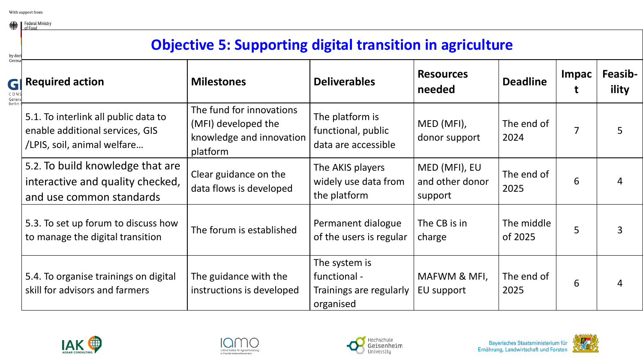Federal Ministry

#### **Objective 5: Supporting digital transition in agriculture**

| by deci<br>Germa               |                                                                                                        |                                                                                         |                                                                       |                                             |                       |              |                  |
|--------------------------------|--------------------------------------------------------------------------------------------------------|-----------------------------------------------------------------------------------------|-----------------------------------------------------------------------|---------------------------------------------|-----------------------|--------------|------------------|
| GI<br>CON:<br>Genera<br>Berlin | <b>Required action</b>                                                                                 | <b>Milestones</b>                                                                       | <b>Deliverables</b>                                                   | <b>Resources</b><br>needed                  | <b>Deadline</b>       | <b>Impac</b> | Feasib-<br>ility |
|                                | 5.1. To interlink all public data to<br>enable additional services, GIS<br>/LPIS, soil, animal welfare | The fund for innovations<br>(MFI) developed the<br>knowledge and innovation<br>platform | The platform is<br>functional, public<br>data are accessible          | MED (MFI),<br>donor support                 | The end of<br>2024    | 7            |                  |
|                                | 5.2. To build knowledge that are<br>interactive and quality checked,<br>and use common standards       | Clear guidance on the<br>data flows is developed                                        | The AKIS players<br>widely use data from<br>the platform              | MED (MFI), EU<br>and other donor<br>support | The end of<br>2025    | 6            |                  |
|                                | 5.3. To set up forum to discuss how<br>to manage the digital transition                                | The forum is established                                                                | Permanent dialogue<br>of the users is regular                         | The CB is in<br>charge                      | The middle<br>of 2025 | 5            |                  |
|                                | 5.4. To organise trainings on digital<br>skill for advisors and farmers                                | The guidance with the<br>instructions is developed                                      | The system is<br>functional -<br>Trainings are regularly<br>organised | MAFWM & MFI,<br>EU support                  | The end of<br>2025    | 6            |                  |







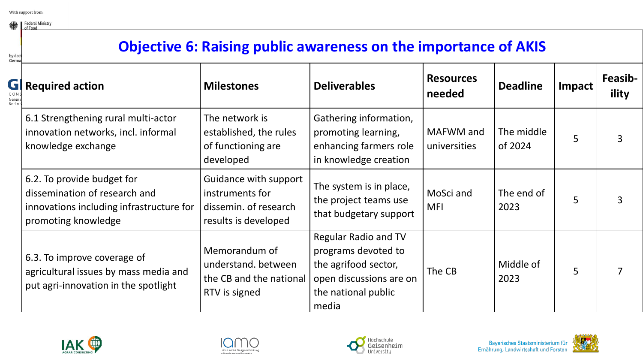Federal Ministry

#### **Objective 6: Raising public awareness on the importance of AKIS**

| by deci<br>Germa             |                                                                                                                                |                                                                                           |                                                                                                                                       |                            |                       |        |                  |
|------------------------------|--------------------------------------------------------------------------------------------------------------------------------|-------------------------------------------------------------------------------------------|---------------------------------------------------------------------------------------------------------------------------------------|----------------------------|-----------------------|--------|------------------|
| GI<br>CON<br>Gener<br>Berlin | <b>Required action</b>                                                                                                         | <b>Milestones</b>                                                                         | <b>Deliverables</b>                                                                                                                   | <b>Resources</b><br>needed | <b>Deadline</b>       | Impact | Feasib-<br>ility |
|                              | 6.1 Strengthening rural multi-actor<br>innovation networks, incl. informal<br>knowledge exchange                               | The network is<br>established, the rules<br>of functioning are<br>developed               | Gathering information,<br>promoting learning,<br>enhancing farmers role<br>in knowledge creation                                      | MAFWM and<br>universities  | The middle<br>of 2024 | 5      |                  |
|                              | 6.2. To provide budget for<br>dissemination of research and<br>innovations including infrastructure for<br>promoting knowledge | Guidance with support<br>instruments for<br>dissemin. of research<br>results is developed | The system is in place,<br>the project teams use<br>that budgetary support                                                            | MoSci and<br><b>MFI</b>    | The end of<br>2023    | 5      |                  |
|                              | 6.3. To improve coverage of<br>agricultural issues by mass media and<br>put agri-innovation in the spotlight                   | Memorandum of<br>understand. between<br>the CB and the national<br>RTV is signed          | <b>Regular Radio and TV</b><br>programs devoted to<br>the agrifood sector,<br>open discussions are on<br>the national public<br>media | The CB                     | Middle of<br>2023     | 5      |                  |







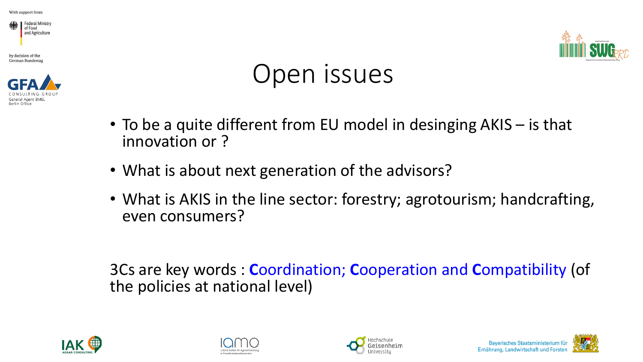







# Open issues

- To be a quite different from EU model in desinging AKIS is that innovation or ?
- What is about next generation of the advisors?
- What is AKIS in the line sector: forestry; agrotourism; handcrafting, even consumers?

3Cs are key words : **C**oordination; **C**ooperation and **C**ompatibility (of the policies at national level)